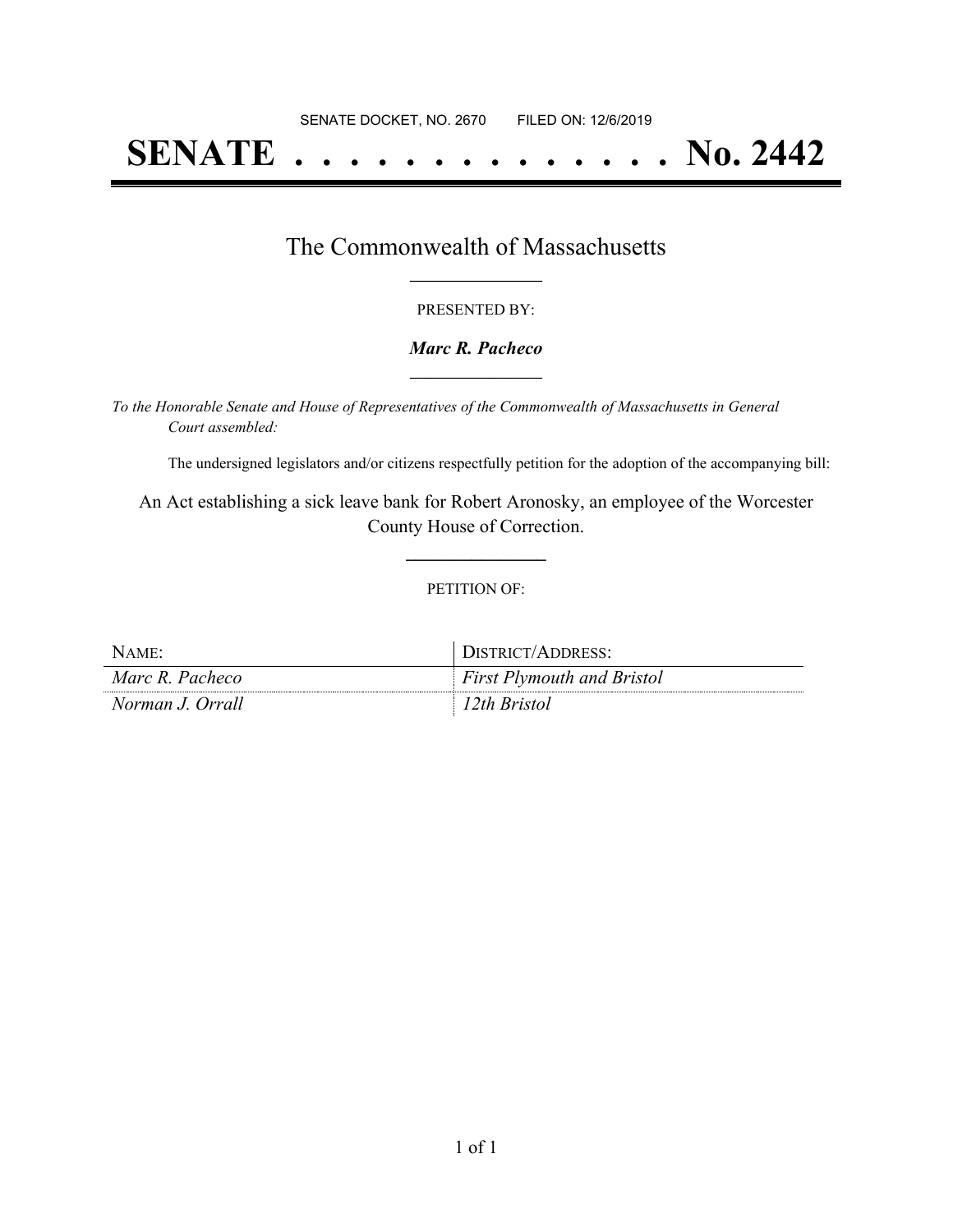# **SENATE . . . . . . . . . . . . . . No. 2442**

### The Commonwealth of Massachusetts **\_\_\_\_\_\_\_\_\_\_\_\_\_\_\_\_\_**

#### PRESENTED BY:

#### *Marc R. Pacheco* **\_\_\_\_\_\_\_\_\_\_\_\_\_\_\_\_\_**

*To the Honorable Senate and House of Representatives of the Commonwealth of Massachusetts in General Court assembled:*

The undersigned legislators and/or citizens respectfully petition for the adoption of the accompanying bill:

An Act establishing a sick leave bank for Robert Aronosky, an employee of the Worcester County House of Correction.

**\_\_\_\_\_\_\_\_\_\_\_\_\_\_\_**

#### PETITION OF:

| NAME:            | DISTRICT/ADDRESS:                 |
|------------------|-----------------------------------|
| Marc R. Pacheco  | <i>First Plymouth and Bristol</i> |
| Norman J. Orrall | 12th Bristol                      |